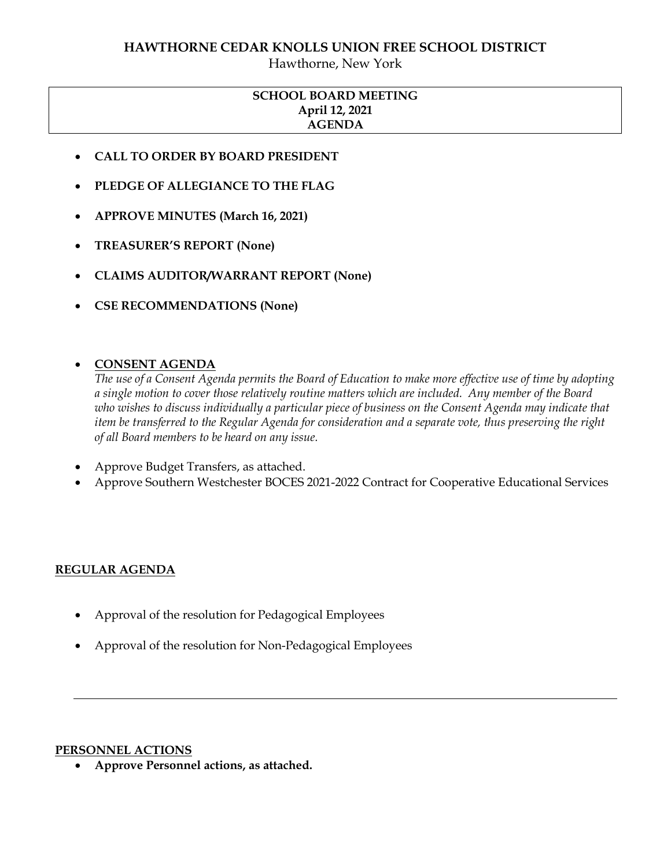### **HAWTHORNE CEDAR KNOLLS UNION FREE SCHOOL DISTRICT**

Hawthorne, New York

# **SCHOOL BOARD MEETING April 12, 2021 AGENDA**

- **CALL TO ORDER BY BOARD PRESIDENT**
- **PLEDGE OF ALLEGIANCE TO THE FLAG**
- **APPROVE MINUTES (March 16, 2021)**
- **TREASURER'S REPORT (None)**
- **CLAIMS AUDITOR/WARRANT REPORT (None)**
- **CSE RECOMMENDATIONS (None)**

### **CONSENT AGENDA**

*The use of a Consent Agenda permits the Board of Education to make more effective use of time by adopting a single motion to cover those relatively routine matters which are included. Any member of the Board who wishes to discuss individually a particular piece of business on the Consent Agenda may indicate that item be transferred to the Regular Agenda for consideration and a separate vote, thus preserving the right of all Board members to be heard on any issue.* 

- Approve Budget Transfers, as attached.
- Approve Southern Westchester BOCES 2021-2022 Contract for Cooperative Educational Services

### **REGULAR AGENDA**

- Approval of the resolution for Pedagogical Employees
- Approval of the resolution for Non-Pedagogical Employees

#### **PERSONNEL ACTIONS**

**Approve Personnel actions, as attached.**